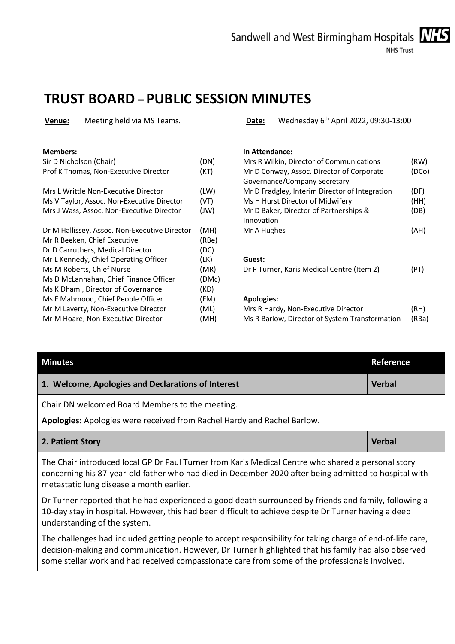

### **TRUST BOARD – PUBLIC SESSION MINUTES**

| Meeting held via MS Teams.<br>Venue:          |       | Wednesday 6 <sup>th</sup> April 2022, 09:30-13:00<br>Date:                |       |
|-----------------------------------------------|-------|---------------------------------------------------------------------------|-------|
| <b>Members:</b>                               |       | In Attendance:                                                            |       |
| Sir D Nicholson (Chair)                       | (DN)  | Mrs R Wilkin, Director of Communications                                  | (RW)  |
| Prof K Thomas, Non-Executive Director         | (KT)  | Mr D Conway, Assoc. Director of Corporate<br>Governance/Company Secretary | (DCo) |
| Mrs L Writtle Non-Executive Director          | (LW)  | Mr D Fradgley, Interim Director of Integration                            | (DF)  |
| Ms V Taylor, Assoc. Non-Executive Director    | (VT)  | Ms H Hurst Director of Midwifery                                          | (HH)  |
| Mrs J Wass, Assoc. Non-Executive Director     | (W)   | Mr D Baker, Director of Partnerships &<br>Innovation                      | (DB)  |
| Dr M Hallissey, Assoc. Non-Executive Director | (MH)  | Mr A Hughes                                                               | (AH)  |
| Mr R Beeken, Chief Executive                  | (RBe) |                                                                           |       |
| Dr D Carruthers, Medical Director             | (DC)  |                                                                           |       |
| Mr L Kennedy, Chief Operating Officer         | (LK)  | Guest:                                                                    |       |
| Ms M Roberts, Chief Nurse                     | (MR)  | Dr P Turner, Karis Medical Centre (Item 2)                                | (PT)  |
| Ms D McLannahan, Chief Finance Officer        | (DMc) |                                                                           |       |
| Ms K Dhami, Director of Governance            | (KD)  |                                                                           |       |
| Ms F Mahmood, Chief People Officer            | (FM)  | <b>Apologies:</b>                                                         |       |
| Mr M Laverty, Non-Executive Director          | (ML)  | Mrs R Hardy, Non-Executive Director                                       | (RH)  |
| Mr M Hoare, Non-Executive Director            | (MH)  | Ms R Barlow, Director of System Transformation                            | (RBa) |

| <b>Minutes</b>                                                                                                             | Reference     |  |
|----------------------------------------------------------------------------------------------------------------------------|---------------|--|
| 1. Welcome, Apologies and Declarations of Interest                                                                         | <b>Verbal</b> |  |
| Chair DN welcomed Board Members to the meeting.<br>Apologies: Apologies were received from Rachel Hardy and Rachel Barlow. |               |  |
| 2. Patient Story                                                                                                           | <b>Verbal</b> |  |
| The Chair introduced local GP Dr Paul Turner from Karis Medical Centre who shared a personal story                         |               |  |

concerning his 87-year-old father who had died in December 2020 after being admitted to hospital with metastatic lung disease a month earlier.

Dr Turner reported that he had experienced a good death surrounded by friends and family, following a 10-day stay in hospital. However, this had been difficult to achieve despite Dr Turner having a deep understanding of the system.

The challenges had included getting people to accept responsibility for taking charge of end-of-life care, decision-making and communication. However, Dr Turner highlighted that his family had also observed some stellar work and had received compassionate care from some of the professionals involved.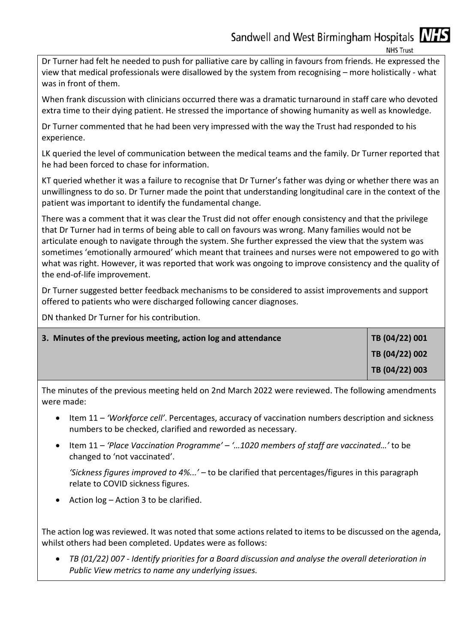**NHS Trust** 

Dr Turner had felt he needed to push for palliative care by calling in favours from friends. He expressed the view that medical professionals were disallowed by the system from recognising – more holistically - what was in front of them.

When frank discussion with clinicians occurred there was a dramatic turnaround in staff care who devoted extra time to their dying patient. He stressed the importance of showing humanity as well as knowledge.

Dr Turner commented that he had been very impressed with the way the Trust had responded to his experience.

LK queried the level of communication between the medical teams and the family. Dr Turner reported that he had been forced to chase for information.

KT queried whether it was a failure to recognise that Dr Turner's father was dying or whether there was an unwillingness to do so. Dr Turner made the point that understanding longitudinal care in the context of the patient was important to identify the fundamental change.

There was a comment that it was clear the Trust did not offer enough consistency and that the privilege that Dr Turner had in terms of being able to call on favours was wrong. Many families would not be articulate enough to navigate through the system. She further expressed the view that the system was sometimes 'emotionally armoured' which meant that trainees and nurses were not empowered to go with what was right. However, it was reported that work was ongoing to improve consistency and the quality of the end-of-life improvement.

Dr Turner suggested better feedback mechanisms to be considered to assist improvements and support offered to patients who were discharged following cancer diagnoses.

DN thanked Dr Turner for his contribution.

| 3. Minutes of the previous meeting, action log and attendance | TB (04/22) 001 |
|---------------------------------------------------------------|----------------|
|                                                               | TB (04/22) 002 |
|                                                               | TB (04/22) 003 |

The minutes of the previous meeting held on 2nd March 2022 were reviewed. The following amendments were made:

- Item 11 *'Workforce cell'*. Percentages, accuracy of vaccination numbers description and sickness numbers to be checked, clarified and reworded as necessary.
- Item 11 *'Place Vaccination Programme' '…1020 members of staff are vaccinated…'* to be changed to 'not vaccinated'.

*'Sickness figures improved to 4%...' –* to be clarified that percentages/figures in this paragraph relate to COVID sickness figures.

• Action  $log -$  Action 3 to be clarified.

The action log was reviewed. It was noted that some actions related to items to be discussed on the agenda, whilst others had been completed. Updates were as follows:

 *TB (01/22) 007 - Identify priorities for a Board discussion and analyse the overall deterioration in Public View metrics to name any underlying issues.*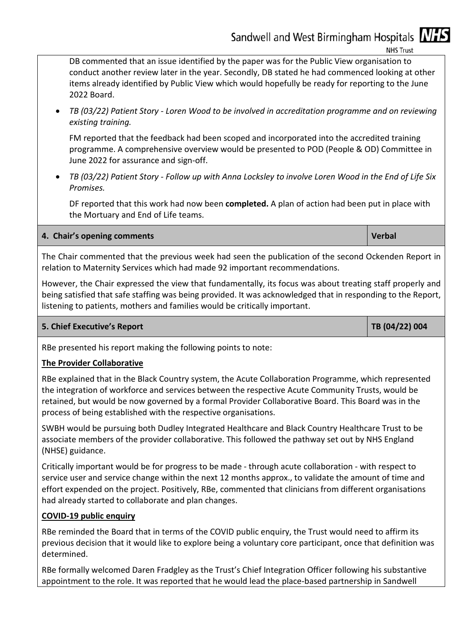**NHS Trust** 

DB commented that an issue identified by the paper was for the Public View organisation to conduct another review later in the year. Secondly, DB stated he had commenced looking at other items already identified by Public View which would hopefully be ready for reporting to the June 2022 Board.

 *TB (03/22) Patient Story - Loren Wood to be involved in accreditation programme and on reviewing existing training.* 

FM reported that the feedback had been scoped and incorporated into the accredited training programme. A comprehensive overview would be presented to POD (People & OD) Committee in June 2022 for assurance and sign-off.

 *TB (03/22) Patient Story - Follow up with Anna Locksley to involve Loren Wood in the End of Life Six Promises.* 

DF reported that this work had now been **completed.** A plan of action had been put in place with the Mortuary and End of Life teams.

### **4. Chair's opening comments Verbal** *I* **Verbal** *Verbal* **<b>Verbal**

The Chair commented that the previous week had seen the publication of the second Ockenden Report in relation to Maternity Services which had made 92 important recommendations.

However, the Chair expressed the view that fundamentally, its focus was about treating staff properly and being satisfied that safe staffing was being provided. It was acknowledged that in responding to the Report, listening to patients, mothers and families would be critically important.

### **5. Chief Executive's Report TB (04/22) 004**

RBe presented his report making the following points to note:

### **The Provider Collaborative**

RBe explained that in the Black Country system, the Acute Collaboration Programme, which represented the integration of workforce and services between the respective Acute Community Trusts, would be retained, but would be now governed by a formal Provider Collaborative Board. This Board was in the process of being established with the respective organisations.

SWBH would be pursuing both Dudley Integrated Healthcare and Black Country Healthcare Trust to be associate members of the provider collaborative. This followed the pathway set out by NHS England (NHSE) guidance.

Critically important would be for progress to be made - through acute collaboration - with respect to service user and service change within the next 12 months approx., to validate the amount of time and effort expended on the project. Positively, RBe, commented that clinicians from different organisations had already started to collaborate and plan changes.

### **COVID-19 public enquiry**

RBe reminded the Board that in terms of the COVID public enquiry, the Trust would need to affirm its previous decision that it would like to explore being a voluntary core participant, once that definition was determined.

RBe formally welcomed Daren Fradgley as the Trust's Chief Integration Officer following his substantive appointment to the role. It was reported that he would lead the place-based partnership in Sandwell

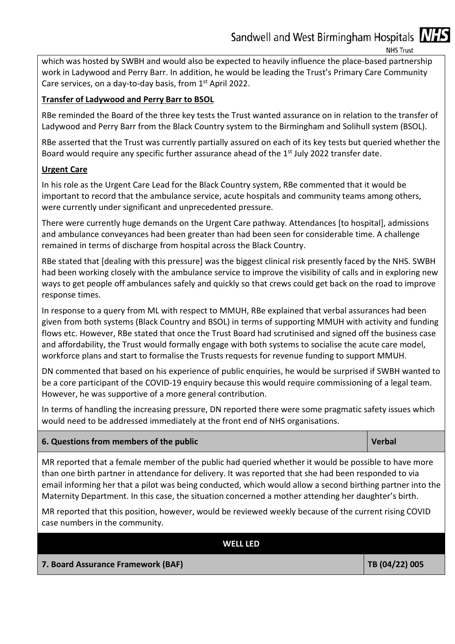**NHS Trust** 

which was hosted by SWBH and would also be expected to heavily influence the place-based partnership work in Ladywood and Perry Barr. In addition, he would be leading the Trust's Primary Care Community Care services, on a day-to-day basis, from 1<sup>st</sup> April 2022.

### **Transfer of Ladywood and Perry Barr to BSOL**

RBe reminded the Board of the three key tests the Trust wanted assurance on in relation to the transfer of Ladywood and Perry Barr from the Black Country system to the Birmingham and Solihull system (BSOL).

RBe asserted that the Trust was currently partially assured on each of its key tests but queried whether the Board would require any specific further assurance ahead of the 1<sup>st</sup> July 2022 transfer date.

### **Urgent Care**

In his role as the Urgent Care Lead for the Black Country system, RBe commented that it would be important to record that the ambulance service, acute hospitals and community teams among others, were currently under significant and unprecedented pressure.

There were currently huge demands on the Urgent Care pathway. Attendances [to hospital], admissions and ambulance conveyances had been greater than had been seen for considerable time. A challenge remained in terms of discharge from hospital across the Black Country.

RBe stated that [dealing with this pressure] was the biggest clinical risk presently faced by the NHS. SWBH had been working closely with the ambulance service to improve the visibility of calls and in exploring new ways to get people off ambulances safely and quickly so that crews could get back on the road to improve response times.

In response to a query from ML with respect to MMUH, RBe explained that verbal assurances had been given from both systems (Black Country and BSOL) in terms of supporting MMUH with activity and funding flows etc. However, RBe stated that once the Trust Board had scrutinised and signed off the business case and affordability, the Trust would formally engage with both systems to socialise the acute care model, workforce plans and start to formalise the Trusts requests for revenue funding to support MMUH.

DN commented that based on his experience of public enquiries, he would be surprised if SWBH wanted to be a core participant of the COVID-19 enquiry because this would require commissioning of a legal team. However, he was supportive of a more general contribution.

In terms of handling the increasing pressure, DN reported there were some pragmatic safety issues which would need to be addressed immediately at the front end of NHS organisations.

### **6. Questions from members of the public Contract Contract Contract Contract Contract Contract Contract Contract Contract Contract Contract Contract Contract Contract Contract Contract Contract Contract Contract Contract C**

MR reported that a female member of the public had queried whether it would be possible to have more than one birth partner in attendance for delivery. It was reported that she had been responded to via email informing her that a pilot was being conducted, which would allow a second birthing partner into the Maternity Department. In this case, the situation concerned a mother attending her daughter's birth.

MR reported that this position, however, would be reviewed weekly because of the current rising COVID case numbers in the community.

| <b>WELL LED</b>                    |                    |
|------------------------------------|--------------------|
| 7. Board Assurance Framework (BAF) | $ $ TB (04/22) 005 |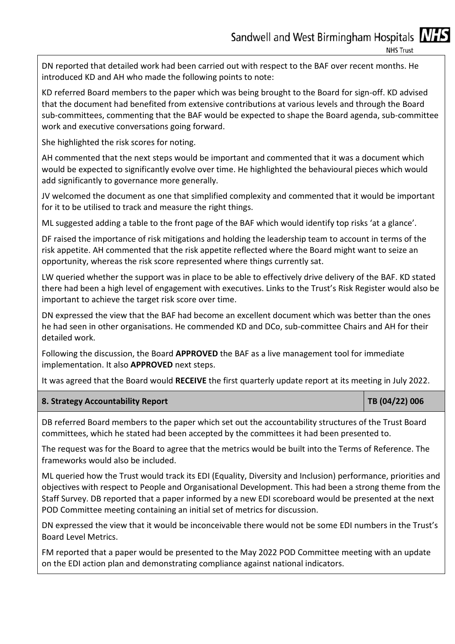**NHS Trust** 

DN reported that detailed work had been carried out with respect to the BAF over recent months. He introduced KD and AH who made the following points to note:

KD referred Board members to the paper which was being brought to the Board for sign-off. KD advised that the document had benefited from extensive contributions at various levels and through the Board sub-committees, commenting that the BAF would be expected to shape the Board agenda, sub-committee work and executive conversations going forward.

She highlighted the risk scores for noting.

AH commented that the next steps would be important and commented that it was a document which would be expected to significantly evolve over time. He highlighted the behavioural pieces which would add significantly to governance more generally.

JV welcomed the document as one that simplified complexity and commented that it would be important for it to be utilised to track and measure the right things.

ML suggested adding a table to the front page of the BAF which would identify top risks 'at a glance'.

DF raised the importance of risk mitigations and holding the leadership team to account in terms of the risk appetite. AH commented that the risk appetite reflected where the Board might want to seize an opportunity, whereas the risk score represented where things currently sat.

LW queried whether the support was in place to be able to effectively drive delivery of the BAF. KD stated there had been a high level of engagement with executives. Links to the Trust's Risk Register would also be important to achieve the target risk score over time.

DN expressed the view that the BAF had become an excellent document which was better than the ones he had seen in other organisations. He commended KD and DCo, sub-committee Chairs and AH for their detailed work.

Following the discussion, the Board **APPROVED** the BAF as a live management tool for immediate implementation. It also **APPROVED** next steps.

It was agreed that the Board would **RECEIVE** the first quarterly update report at its meeting in July 2022.

| 8. Strategy Accountability Report | $ $ TB (04/22) 006 |
|-----------------------------------|--------------------|
|-----------------------------------|--------------------|

DB referred Board members to the paper which set out the accountability structures of the Trust Board committees, which he stated had been accepted by the committees it had been presented to.

The request was for the Board to agree that the metrics would be built into the Terms of Reference. The frameworks would also be included.

ML queried how the Trust would track its EDI (Equality, Diversity and Inclusion) performance, priorities and objectives with respect to People and Organisational Development. This had been a strong theme from the Staff Survey. DB reported that a paper informed by a new EDI scoreboard would be presented at the next POD Committee meeting containing an initial set of metrics for discussion.

DN expressed the view that it would be inconceivable there would not be some EDI numbers in the Trust's Board Level Metrics.

FM reported that a paper would be presented to the May 2022 POD Committee meeting with an update on the EDI action plan and demonstrating compliance against national indicators.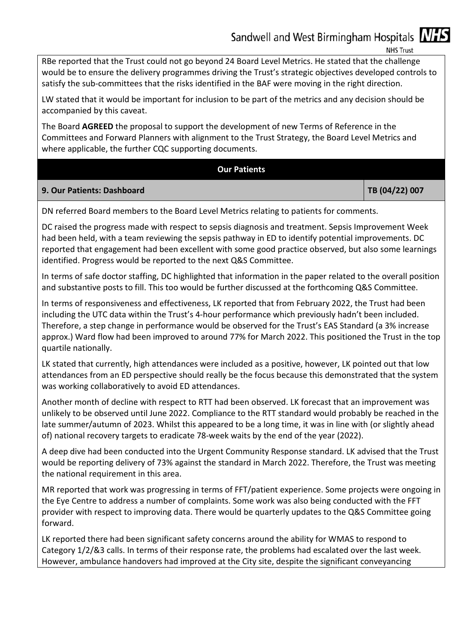**NHS Trust** 

RBe reported that the Trust could not go beyond 24 Board Level Metrics. He stated that the challenge would be to ensure the delivery programmes driving the Trust's strategic objectives developed controls to satisfy the sub-committees that the risks identified in the BAF were moving in the right direction.

LW stated that it would be important for inclusion to be part of the metrics and any decision should be accompanied by this caveat.

The Board **AGREED** the proposal to support the development of new Terms of Reference in the Committees and Forward Planners with alignment to the Trust Strategy, the Board Level Metrics and where applicable, the further CQC supporting documents.

### **Our Patients**

### **9. Our Patients: Dashboard TB (04/22) 007**

DN referred Board members to the Board Level Metrics relating to patients for comments.

DC raised the progress made with respect to sepsis diagnosis and treatment. Sepsis Improvement Week had been held, with a team reviewing the sepsis pathway in ED to identify potential improvements. DC reported that engagement had been excellent with some good practice observed, but also some learnings identified. Progress would be reported to the next Q&S Committee.

In terms of safe doctor staffing, DC highlighted that information in the paper related to the overall position and substantive posts to fill. This too would be further discussed at the forthcoming Q&S Committee.

In terms of responsiveness and effectiveness, LK reported that from February 2022, the Trust had been including the UTC data within the Trust's 4-hour performance which previously hadn't been included. Therefore, a step change in performance would be observed for the Trust's EAS Standard (a 3% increase approx.) Ward flow had been improved to around 77% for March 2022. This positioned the Trust in the top quartile nationally.

LK stated that currently, high attendances were included as a positive, however, LK pointed out that low attendances from an ED perspective should really be the focus because this demonstrated that the system was working collaboratively to avoid ED attendances.

Another month of decline with respect to RTT had been observed. LK forecast that an improvement was unlikely to be observed until June 2022. Compliance to the RTT standard would probably be reached in the late summer/autumn of 2023. Whilst this appeared to be a long time, it was in line with (or slightly ahead of) national recovery targets to eradicate 78-week waits by the end of the year (2022).

A deep dive had been conducted into the Urgent Community Response standard. LK advised that the Trust would be reporting delivery of 73% against the standard in March 2022. Therefore, the Trust was meeting the national requirement in this area.

MR reported that work was progressing in terms of FFT/patient experience. Some projects were ongoing in the Eye Centre to address a number of complaints. Some work was also being conducted with the FFT provider with respect to improving data. There would be quarterly updates to the Q&S Committee going forward.

LK reported there had been significant safety concerns around the ability for WMAS to respond to Category 1/2/&3 calls. In terms of their response rate, the problems had escalated over the last week. However, ambulance handovers had improved at the City site, despite the significant conveyancing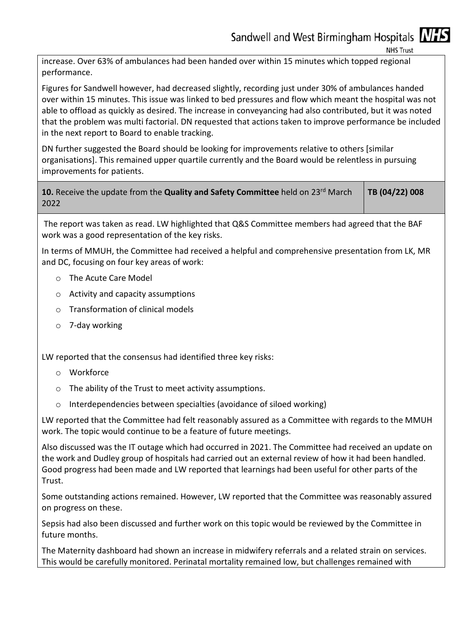**NHS Trust** 

increase. Over 63% of ambulances had been handed over within 15 minutes which topped regional performance.

Figures for Sandwell however, had decreased slightly, recording just under 30% of ambulances handed over within 15 minutes. This issue was linked to bed pressures and flow which meant the hospital was not able to offload as quickly as desired. The increase in conveyancing had also contributed, but it was noted that the problem was multi factorial. DN requested that actions taken to improve performance be included in the next report to Board to enable tracking.

DN further suggested the Board should be looking for improvements relative to others [similar organisations]. This remained upper quartile currently and the Board would be relentless in pursuing improvements for patients.

10. Receive the update from the Quality and Safety Committee held on 23<sup>rd</sup> March 2022 **TB (04/22) 008** 

The report was taken as read. LW highlighted that Q&S Committee members had agreed that the BAF work was a good representation of the key risks.

In terms of MMUH, the Committee had received a helpful and comprehensive presentation from LK, MR and DC, focusing on four key areas of work:

- o The Acute Care Model
- o Activity and capacity assumptions
- o Transformation of clinical models
- o 7-day working

LW reported that the consensus had identified three key risks:

- o Workforce
- o The ability of the Trust to meet activity assumptions.
- o Interdependencies between specialties (avoidance of siloed working)

LW reported that the Committee had felt reasonably assured as a Committee with regards to the MMUH work. The topic would continue to be a feature of future meetings.

Also discussed was the IT outage which had occurred in 2021. The Committee had received an update on the work and Dudley group of hospitals had carried out an external review of how it had been handled. Good progress had been made and LW reported that learnings had been useful for other parts of the Trust.

Some outstanding actions remained. However, LW reported that the Committee was reasonably assured on progress on these.

Sepsis had also been discussed and further work on this topic would be reviewed by the Committee in future months.

The Maternity dashboard had shown an increase in midwifery referrals and a related strain on services. This would be carefully monitored. Perinatal mortality remained low, but challenges remained with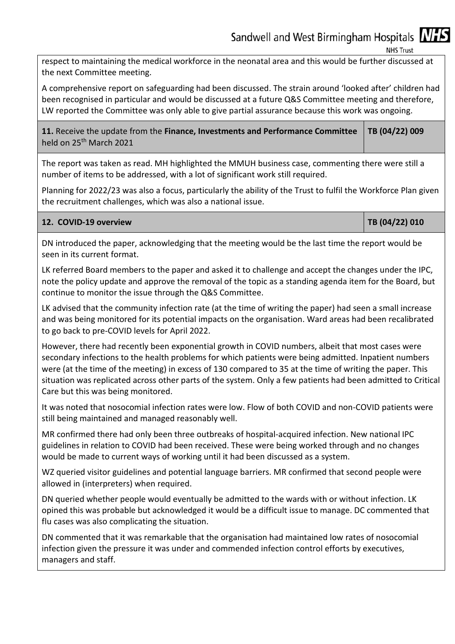**NHS Trust** 

respect to maintaining the medical workforce in the neonatal area and this would be further discussed at the next Committee meeting.

A comprehensive report on safeguarding had been discussed. The strain around 'looked after' children had been recognised in particular and would be discussed at a future Q&S Committee meeting and therefore, LW reported the Committee was only able to give partial assurance because this work was ongoing.

**11.** Receive the update from the **Finance, Investments and Performance Committee**  held on 25<sup>th</sup> March 2021 **TB (04/22) 009** 

The report was taken as read. MH highlighted the MMUH business case, commenting there were still a number of items to be addressed, with a lot of significant work still required.

Planning for 2022/23 was also a focus, particularly the ability of the Trust to fulfil the Workforce Plan given the recruitment challenges, which was also a national issue.

| 12. COVID-19 overview |  |  |  |  |  |
|-----------------------|--|--|--|--|--|
|-----------------------|--|--|--|--|--|

**12. COVID-19 overview TB (04/22) 010** 

DN introduced the paper, acknowledging that the meeting would be the last time the report would be seen in its current format.

LK referred Board members to the paper and asked it to challenge and accept the changes under the IPC, note the policy update and approve the removal of the topic as a standing agenda item for the Board, but continue to monitor the issue through the Q&S Committee.

LK advised that the community infection rate (at the time of writing the paper) had seen a small increase and was being monitored for its potential impacts on the organisation. Ward areas had been recalibrated to go back to pre-COVID levels for April 2022.

However, there had recently been exponential growth in COVID numbers, albeit that most cases were secondary infections to the health problems for which patients were being admitted. Inpatient numbers were (at the time of the meeting) in excess of 130 compared to 35 at the time of writing the paper. This situation was replicated across other parts of the system. Only a few patients had been admitted to Critical Care but this was being monitored.

It was noted that nosocomial infection rates were low. Flow of both COVID and non-COVID patients were still being maintained and managed reasonably well.

MR confirmed there had only been three outbreaks of hospital-acquired infection. New national IPC guidelines in relation to COVID had been received. These were being worked through and no changes would be made to current ways of working until it had been discussed as a system.

WZ queried visitor guidelines and potential language barriers. MR confirmed that second people were allowed in (interpreters) when required.

DN queried whether people would eventually be admitted to the wards with or without infection. LK opined this was probable but acknowledged it would be a difficult issue to manage. DC commented that flu cases was also complicating the situation.

DN commented that it was remarkable that the organisation had maintained low rates of nosocomial infection given the pressure it was under and commended infection control efforts by executives, managers and staff.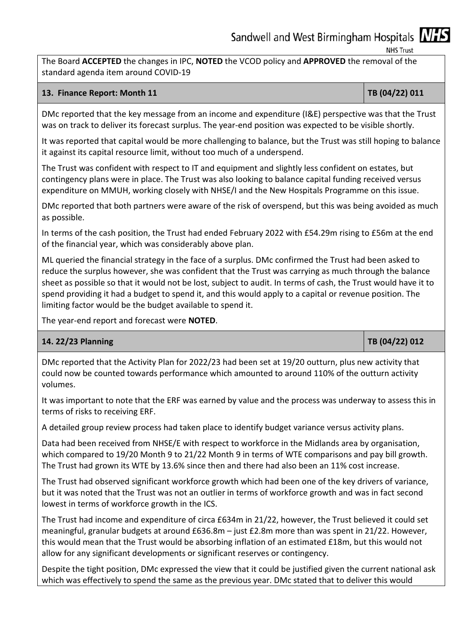**NHS Trust** 

The Board **ACCEPTED** the changes in IPC, **NOTED** the VCOD policy and **APPROVED** the removal of the standard agenda item around COVID-19

### **13. Finance Report: Month 11 <b>TB** (04/22) 011

DMc reported that the key message from an income and expenditure (I&E) perspective was that the Trust was on track to deliver its forecast surplus. The year-end position was expected to be visible shortly.

It was reported that capital would be more challenging to balance, but the Trust was still hoping to balance it against its capital resource limit, without too much of a underspend.

The Trust was confident with respect to IT and equipment and slightly less confident on estates, but contingency plans were in place. The Trust was also looking to balance capital funding received versus expenditure on MMUH, working closely with NHSE/I and the New Hospitals Programme on this issue.

DMc reported that both partners were aware of the risk of overspend, but this was being avoided as much as possible.

In terms of the cash position, the Trust had ended February 2022 with £54.29m rising to £56m at the end of the financial year, which was considerably above plan.

ML queried the financial strategy in the face of a surplus. DMc confirmed the Trust had been asked to reduce the surplus however, she was confident that the Trust was carrying as much through the balance sheet as possible so that it would not be lost, subject to audit. In terms of cash, the Trust would have it to spend providing it had a budget to spend it, and this would apply to a capital or revenue position. The limiting factor would be the budget available to spend it.

The year-end report and forecast were **NOTED**.

### **14. 22/23 Planning TB (04/22) 012**

DMc reported that the Activity Plan for 2022/23 had been set at 19/20 outturn, plus new activity that could now be counted towards performance which amounted to around 110% of the outturn activity volumes.

It was important to note that the ERF was earned by value and the process was underway to assess this in terms of risks to receiving ERF.

A detailed group review process had taken place to identify budget variance versus activity plans.

Data had been received from NHSE/E with respect to workforce in the Midlands area by organisation, which compared to 19/20 Month 9 to 21/22 Month 9 in terms of WTE comparisons and pay bill growth. The Trust had grown its WTE by 13.6% since then and there had also been an 11% cost increase.

The Trust had observed significant workforce growth which had been one of the key drivers of variance, but it was noted that the Trust was not an outlier in terms of workforce growth and was in fact second lowest in terms of workforce growth in the ICS.

The Trust had income and expenditure of circa £634m in 21/22, however, the Trust believed it could set meaningful, granular budgets at around £636.8m – just £2.8m more than was spent in 21/22. However, this would mean that the Trust would be absorbing inflation of an estimated £18m, but this would not allow for any significant developments or significant reserves or contingency.

Despite the tight position, DMc expressed the view that it could be justified given the current national ask which was effectively to spend the same as the previous year. DMc stated that to deliver this would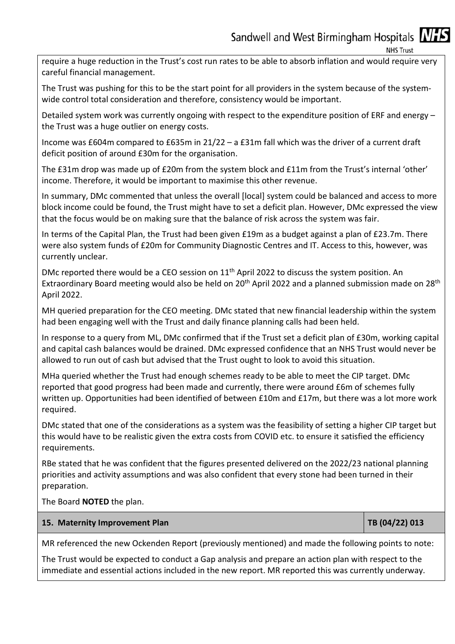**NHS Trust** 

require a huge reduction in the Trust's cost run rates to be able to absorb inflation and would require very careful financial management.

The Trust was pushing for this to be the start point for all providers in the system because of the systemwide control total consideration and therefore, consistency would be important.

Detailed system work was currently ongoing with respect to the expenditure position of ERF and energy – the Trust was a huge outlier on energy costs.

Income was £604m compared to £635m in 21/22 – a £31m fall which was the driver of a current draft deficit position of around £30m for the organisation.

The £31m drop was made up of £20m from the system block and £11m from the Trust's internal 'other' income. Therefore, it would be important to maximise this other revenue.

In summary, DMc commented that unless the overall [local] system could be balanced and access to more block income could be found, the Trust might have to set a deficit plan. However, DMc expressed the view that the focus would be on making sure that the balance of risk across the system was fair.

In terms of the Capital Plan, the Trust had been given £19m as a budget against a plan of £23.7m. There were also system funds of £20m for Community Diagnostic Centres and IT. Access to this, however, was currently unclear.

DMc reported there would be a CEO session on 11<sup>th</sup> April 2022 to discuss the system position. An Extraordinary Board meeting would also be held on 20<sup>th</sup> April 2022 and a planned submission made on 28<sup>th</sup> April 2022.

MH queried preparation for the CEO meeting. DMc stated that new financial leadership within the system had been engaging well with the Trust and daily finance planning calls had been held.

In response to a query from ML, DMc confirmed that if the Trust set a deficit plan of £30m, working capital and capital cash balances would be drained. DMc expressed confidence that an NHS Trust would never be allowed to run out of cash but advised that the Trust ought to look to avoid this situation.

MHa queried whether the Trust had enough schemes ready to be able to meet the CIP target. DMc reported that good progress had been made and currently, there were around £6m of schemes fully written up. Opportunities had been identified of between £10m and £17m, but there was a lot more work required.

DMc stated that one of the considerations as a system was the feasibility of setting a higher CIP target but this would have to be realistic given the extra costs from COVID etc. to ensure it satisfied the efficiency requirements.

RBe stated that he was confident that the figures presented delivered on the 2022/23 national planning priorities and activity assumptions and was also confident that every stone had been turned in their preparation.

The Board **NOTED** the plan.

### **15. Maternity Improvement Plan TB (04/22) 013**

MR referenced the new Ockenden Report (previously mentioned) and made the following points to note:

The Trust would be expected to conduct a Gap analysis and prepare an action plan with respect to the immediate and essential actions included in the new report. MR reported this was currently underway.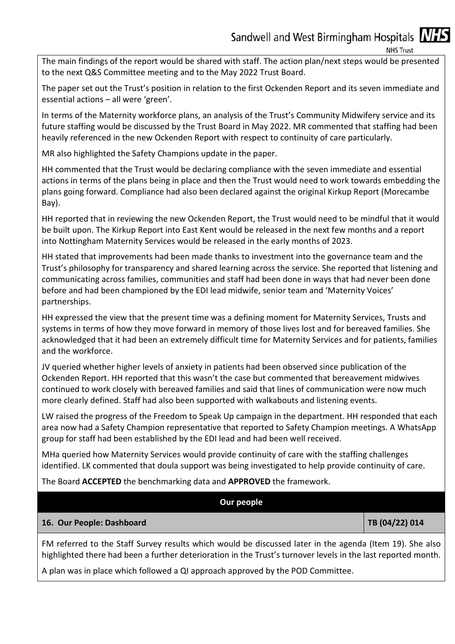**NHS Trust** 

The main findings of the report would be shared with staff. The action plan/next steps would be presented to the next Q&S Committee meeting and to the May 2022 Trust Board.

The paper set out the Trust's position in relation to the first Ockenden Report and its seven immediate and essential actions – all were 'green'.

In terms of the Maternity workforce plans, an analysis of the Trust's Community Midwifery service and its future staffing would be discussed by the Trust Board in May 2022. MR commented that staffing had been heavily referenced in the new Ockenden Report with respect to continuity of care particularly.

MR also highlighted the Safety Champions update in the paper.

HH commented that the Trust would be declaring compliance with the seven immediate and essential actions in terms of the plans being in place and then the Trust would need to work towards embedding the plans going forward. Compliance had also been declared against the original Kirkup Report (Morecambe Bay).

HH reported that in reviewing the new Ockenden Report, the Trust would need to be mindful that it would be built upon. The Kirkup Report into East Kent would be released in the next few months and a report into Nottingham Maternity Services would be released in the early months of 2023.

HH stated that improvements had been made thanks to investment into the governance team and the Trust's philosophy for transparency and shared learning across the service. She reported that listening and communicating across families, communities and staff had been done in ways that had never been done before and had been championed by the EDI lead midwife, senior team and 'Maternity Voices' partnerships.

HH expressed the view that the present time was a defining moment for Maternity Services, Trusts and systems in terms of how they move forward in memory of those lives lost and for bereaved families. She acknowledged that it had been an extremely difficult time for Maternity Services and for patients, families and the workforce.

JV queried whether higher levels of anxiety in patients had been observed since publication of the Ockenden Report. HH reported that this wasn't the case but commented that bereavement midwives continued to work closely with bereaved families and said that lines of communication were now much more clearly defined. Staff had also been supported with walkabouts and listening events.

LW raised the progress of the Freedom to Speak Up campaign in the department. HH responded that each area now had a Safety Champion representative that reported to Safety Champion meetings. A WhatsApp group for staff had been established by the EDI lead and had been well received.

MHa queried how Maternity Services would provide continuity of care with the staffing challenges identified. LK commented that doula support was being investigated to help provide continuity of care.

The Board **ACCEPTED** the benchmarking data and **APPROVED** the framework.

| Our people                |                |
|---------------------------|----------------|
| 16. Our People: Dashboard | TB (04/22) 014 |
|                           |                |

FM referred to the Staff Survey results which would be discussed later in the agenda (Item 19). She also highlighted there had been a further deterioration in the Trust's turnover levels in the last reported month.

A plan was in place which followed a QI approach approved by the POD Committee.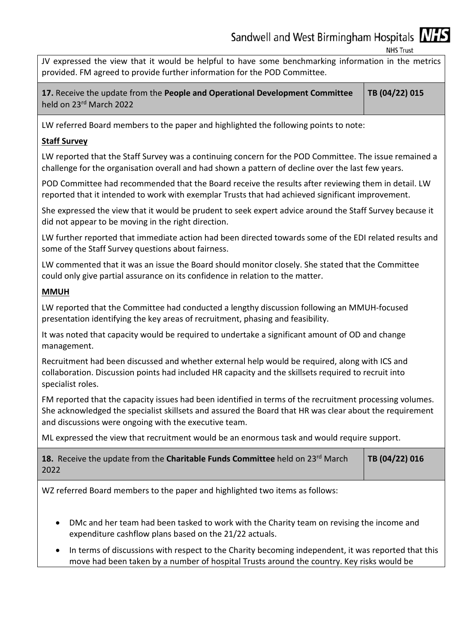**NHS Trust** 

JV expressed the view that it would be helpful to have some benchmarking information in the metrics provided. FM agreed to provide further information for the POD Committee.

**17.** Receive the update from the **People and Operational Development Committee**  held on 23rd March 2022 **TB (04/22) 015** 

LW referred Board members to the paper and highlighted the following points to note:

### **Staff Survey**

LW reported that the Staff Survey was a continuing concern for the POD Committee. The issue remained a challenge for the organisation overall and had shown a pattern of decline over the last few years.

POD Committee had recommended that the Board receive the results after reviewing them in detail. LW reported that it intended to work with exemplar Trusts that had achieved significant improvement.

She expressed the view that it would be prudent to seek expert advice around the Staff Survey because it did not appear to be moving in the right direction.

LW further reported that immediate action had been directed towards some of the EDI related results and some of the Staff Survey questions about fairness.

LW commented that it was an issue the Board should monitor closely. She stated that the Committee could only give partial assurance on its confidence in relation to the matter.

### **MMUH**

LW reported that the Committee had conducted a lengthy discussion following an MMUH-focused presentation identifying the key areas of recruitment, phasing and feasibility.

It was noted that capacity would be required to undertake a significant amount of OD and change management.

Recruitment had been discussed and whether external help would be required, along with ICS and collaboration. Discussion points had included HR capacity and the skillsets required to recruit into specialist roles.

FM reported that the capacity issues had been identified in terms of the recruitment processing volumes. She acknowledged the specialist skillsets and assured the Board that HR was clear about the requirement and discussions were ongoing with the executive team.

ML expressed the view that recruitment would be an enormous task and would require support.

| 18. Receive the update from the Charitable Funds Committee held on 23rd March | $\vert$ TB (04/22) 016 |
|-------------------------------------------------------------------------------|------------------------|
| 2022                                                                          |                        |

WZ referred Board members to the paper and highlighted two items as follows:

- DMc and her team had been tasked to work with the Charity team on revising the income and expenditure cashflow plans based on the 21/22 actuals.
- In terms of discussions with respect to the Charity becoming independent, it was reported that this move had been taken by a number of hospital Trusts around the country. Key risks would be

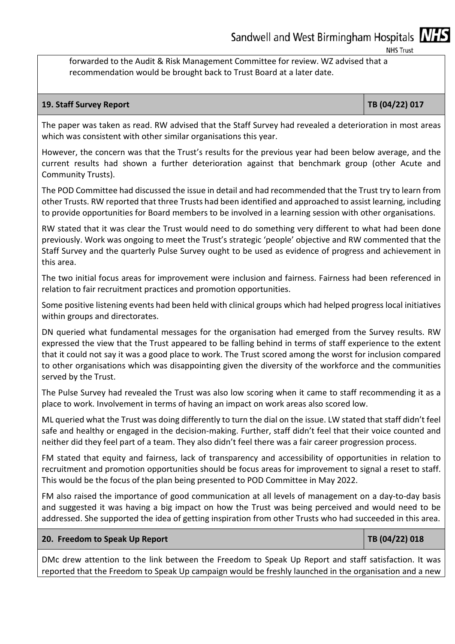**NHS Trust** 

forwarded to the Audit & Risk Management Committee for review. WZ advised that a recommendation would be brought back to Trust Board at a later date.

### **19. Staff Survey Report TB (04/22) 017**

The paper was taken as read. RW advised that the Staff Survey had revealed a deterioration in most areas which was consistent with other similar organisations this year.

However, the concern was that the Trust's results for the previous year had been below average, and the current results had shown a further deterioration against that benchmark group (other Acute and Community Trusts).

The POD Committee had discussed the issue in detail and had recommended that the Trust try to learn from other Trusts. RW reported that three Trusts had been identified and approached to assist learning, including to provide opportunities for Board members to be involved in a learning session with other organisations.

RW stated that it was clear the Trust would need to do something very different to what had been done previously. Work was ongoing to meet the Trust's strategic 'people' objective and RW commented that the Staff Survey and the quarterly Pulse Survey ought to be used as evidence of progress and achievement in this area.

The two initial focus areas for improvement were inclusion and fairness. Fairness had been referenced in relation to fair recruitment practices and promotion opportunities.

Some positive listening events had been held with clinical groups which had helped progress local initiatives within groups and directorates.

DN queried what fundamental messages for the organisation had emerged from the Survey results. RW expressed the view that the Trust appeared to be falling behind in terms of staff experience to the extent that it could not say it was a good place to work. The Trust scored among the worst for inclusion compared to other organisations which was disappointing given the diversity of the workforce and the communities served by the Trust.

The Pulse Survey had revealed the Trust was also low scoring when it came to staff recommending it as a place to work. Involvement in terms of having an impact on work areas also scored low.

ML queried what the Trust was doing differently to turn the dial on the issue. LW stated that staff didn't feel safe and healthy or engaged in the decision-making. Further, staff didn't feel that their voice counted and neither did they feel part of a team. They also didn't feel there was a fair career progression process.

FM stated that equity and fairness, lack of transparency and accessibility of opportunities in relation to recruitment and promotion opportunities should be focus areas for improvement to signal a reset to staff. This would be the focus of the plan being presented to POD Committee in May 2022.

FM also raised the importance of good communication at all levels of management on a day-to-day basis and suggested it was having a big impact on how the Trust was being perceived and would need to be addressed. She supported the idea of getting inspiration from other Trusts who had succeeded in this area.

### **20. Freedom to Speak Up Report TB (04/22) 018**

DMc drew attention to the link between the Freedom to Speak Up Report and staff satisfaction. It was reported that the Freedom to Speak Up campaign would be freshly launched in the organisation and a new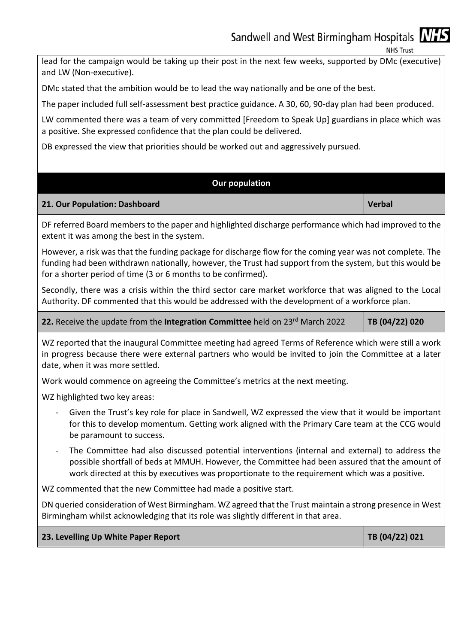**NHS Trust** 

lead for the campaign would be taking up their post in the next few weeks, supported by DMc (executive) and LW (Non-executive).

DMc stated that the ambition would be to lead the way nationally and be one of the best.

The paper included full self-assessment best practice guidance. A 30, 60, 90-day plan had been produced.

LW commented there was a team of very committed [Freedom to Speak Up] guardians in place which was a positive. She expressed confidence that the plan could be delivered.

DB expressed the view that priorities should be worked out and aggressively pursued.

### **Our population**

### **21. Our Population: Dashboard Communisties (Verbal Article 2018)** Verbal **Verbal**

DF referred Board members to the paper and highlighted discharge performance which had improved to the extent it was among the best in the system.

However, a risk was that the funding package for discharge flow for the coming year was not complete. The funding had been withdrawn nationally, however, the Trust had support from the system, but this would be for a shorter period of time (3 or 6 months to be confirmed).

Secondly, there was a crisis within the third sector care market workforce that was aligned to the Local Authority. DF commented that this would be addressed with the development of a workforce plan.

### **22.** Receive the update from the Integration Committee held on 23<sup>rd</sup> March 2022 **TB (04/22) 020**

WZ reported that the inaugural Committee meeting had agreed Terms of Reference which were still a work in progress because there were external partners who would be invited to join the Committee at a later date, when it was more settled.

Work would commence on agreeing the Committee's metrics at the next meeting.

WZ highlighted two key areas:

- Given the Trust's key role for place in Sandwell, WZ expressed the view that it would be important for this to develop momentum. Getting work aligned with the Primary Care team at the CCG would be paramount to success.
- The Committee had also discussed potential interventions (internal and external) to address the possible shortfall of beds at MMUH. However, the Committee had been assured that the amount of work directed at this by executives was proportionate to the requirement which was a positive.

WZ commented that the new Committee had made a positive start.

DN queried consideration of West Birmingham. WZ agreed that the Trust maintain a strong presence in West Birmingham whilst acknowledging that its role was slightly different in that area.

**23. Levelling Up White Paper Report TB (04/22) 021**  TB (04/22) 021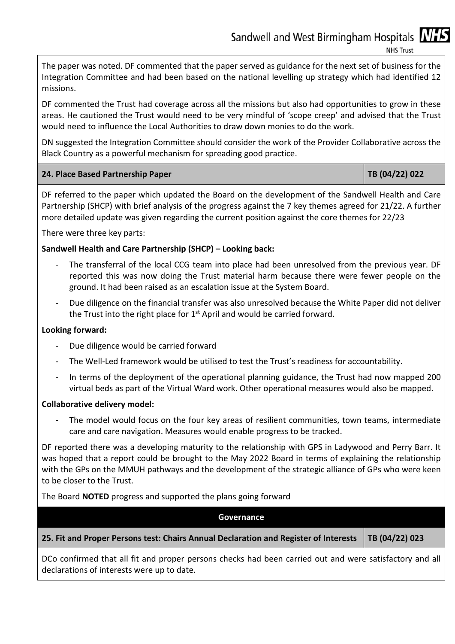**NHS Trust** 

The paper was noted. DF commented that the paper served as guidance for the next set of business for the Integration Committee and had been based on the national levelling up strategy which had identified 12 missions.

DF commented the Trust had coverage across all the missions but also had opportunities to grow in these areas. He cautioned the Trust would need to be very mindful of 'scope creep' and advised that the Trust would need to influence the Local Authorities to draw down monies to do the work.

DN suggested the Integration Committee should consider the work of the Provider Collaborative across the Black Country as a powerful mechanism for spreading good practice.

| 24. Place Based Partnership Paper | TB (04/22) 022 |
|-----------------------------------|----------------|
|-----------------------------------|----------------|

DF referred to the paper which updated the Board on the development of the Sandwell Health and Care Partnership (SHCP) with brief analysis of the progress against the 7 key themes agreed for 21/22. A further more detailed update was given regarding the current position against the core themes for 22/23

There were three key parts:

### **Sandwell Health and Care Partnership (SHCP) – Looking back:**

- The transferral of the local CCG team into place had been unresolved from the previous year. DF reported this was now doing the Trust material harm because there were fewer people on the ground. It had been raised as an escalation issue at the System Board.
- Due diligence on the financial transfer was also unresolved because the White Paper did not deliver the Trust into the right place for  $1<sup>st</sup>$  April and would be carried forward.

### **Looking forward:**

- Due diligence would be carried forward
- The Well-Led framework would be utilised to test the Trust's readiness for accountability.
- In terms of the deployment of the operational planning guidance, the Trust had now mapped 200 virtual beds as part of the Virtual Ward work. Other operational measures would also be mapped.

### **Collaborative delivery model:**

The model would focus on the four key areas of resilient communities, town teams, intermediate care and care navigation. Measures would enable progress to be tracked.

DF reported there was a developing maturity to the relationship with GPS in Ladywood and Perry Barr. It was hoped that a report could be brought to the May 2022 Board in terms of explaining the relationship with the GPs on the MMUH pathways and the development of the strategic alliance of GPs who were keen to be closer to the Trust.

The Board **NOTED** progress and supported the plans going forward

### **Governance**

### **25. Fit and Proper Persons test: Chairs Annual Declaration and Register of Interests TB (04/22) 023**

DCo confirmed that all fit and proper persons checks had been carried out and were satisfactory and all declarations of interests were up to date.